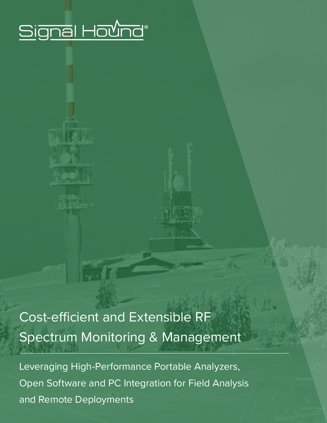# Signal Hound®

# Cost-efficient and Extensible RF Spectrum Monitoring & Management

Leveraging High-Performance Portable Analyzers, Open Software and PC Integration for Field Analysis and Remote Deployments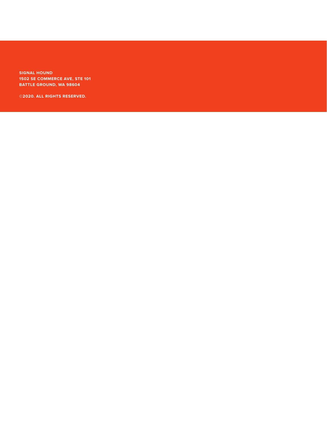**SIGNAL HOUND 1502 SE COMMERCE AVE, STE 101 BATTLE GROUND, WA 98604**

**©2020. ALL RIGHTS RESERVED.**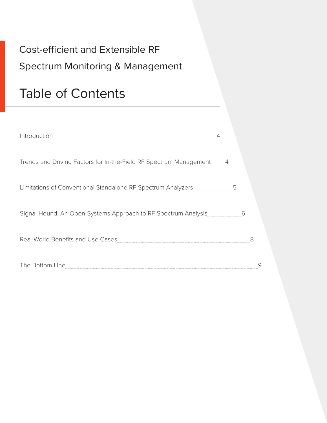# Cost-efficient and Extensible RF Spectrum Monitoring & Management

# Table of Contents

| Trends and Driving Factors for In-the-Field RF Spectrum Management 4 |   |   |  |
|----------------------------------------------------------------------|---|---|--|
| Limitations of Conventional Standalone RF Spectrum Analyzers         | 5 |   |  |
| Signal Hound: An Open-Systems Approach to RF Spectrum Analysis       |   | 6 |  |
| Real-World Benefits and Use Cases                                    |   |   |  |
| The Bottom Line                                                      |   |   |  |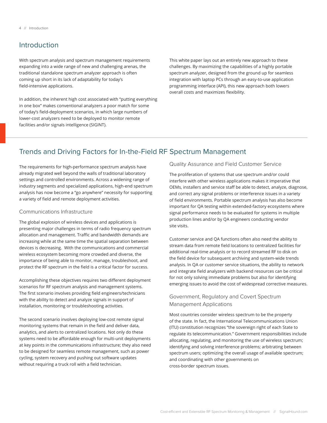# Introduction

With spectrum analysis and spectrum management requirements expanding into a wide range of new and challenging arenas, the traditional standalone spectrum analyzer approach is often coming up short in its lack of adaptability for today's field-intensive applications.

In addition, the inherent high cost associated with "putting everything in one box" makes conventional analyzers a poor match for some of today's field-deployment scenarios, in which large numbers of lower-cost analyzers need to be deployed to monitor remote facilities and/or signals intelligence (SIGINT).

This white paper lays out an entirely new approach to these challenges. By maximizing the capabilities of a highly portable spectrum analyzer, designed from the ground up for seamless integration with laptop PCs through an easy-to-use application programming interface (API), this new approach both lowers overall costs and maximizes flexibility.

# Trends and Driving Factors for In-the-Field RF Spectrum Management

The requirements for high-performance spectrum analysis have already migrated well beyond the walls of traditional laboratory settings and controlled environments. Across a widening range of industry segments and specialized applications, high-end spectrum analysis has now become a "go anywhere" necessity for supporting a variety of field and remote deployment activities.

#### Communications Infrastructure

The global explosion of wireless devices and applications is presenting major challenges in terms of radio frequency spectrum allocation and management. Traffic and bandwidth demands are increasing while at the same time the spatial separation between devices is decreasing. With the communications and commercial wireless ecosystem becoming more crowded and diverse, the importance of being able to monitor, manage, troubleshoot, and protect the RF spectrum in the field is a critical factor for success.

Accomplishing these objectives requires two different deployment scenarios for RF spectrum analysis and management systems. The first scenario involves providing field engineers/technicians with the ability to detect and analyze signals in support of installation, monitoring or troubleshooting activities.

The second scenario involves deploying low-cost remote signal monitoring systems that remain in the field and deliver data, analytics, and alerts to centralized locations. Not only do these systems need to be affordable enough for multi-unit deployments at key points in the communications infrastructure; they also need to be designed for seamless remote management, such as power cycling, system recovery and pushing out software updates without requiring a truck roll with a field technician.

Quality Assurance and Field Customer Service

The proliferation of systems that use spectrum and/or could interfere with other wireless applications makes it imperative that OEMs, installers and service staff be able to detect, analyze, diagnose, and correct any signal problems or interference issues in a variety of field environments. Portable spectrum analysis has also become important for QA testing within extended-factory ecosystems where signal performance needs to be evaluated for systems in multiple production lines and/or by QA engineers conducting vendor site visits.

Customer service and QA functions often also need the ability to stream data from remote field locations to centralized facilities for additional real-time analysis or to record streamed RF to disk on the field device for subsequent archiving and system-wide trends analysis. In QA or customer service situations, the ability to network and integrate field analyzers with backend resources can be critical for not only solving immediate problems but also for identifying emerging issues to avoid the cost of widespread corrective measures.

## Government, Regulatory and Covert Spectrum Management Applications

Most countries consider wireless spectrum to be the property of the state. In fact, the International Telecommunications Union (ITU) constitution recognizes "the sovereign right of each State to regulate its telecommunication." Government responsibilities include allocating, regulating, and monitoring the use of wireless spectrum; identifying and solving interference problems; arbitrating between spectrum users; optimizing the overall usage of available spectrum; and coordinating with other governments on cross-border spectrum issues.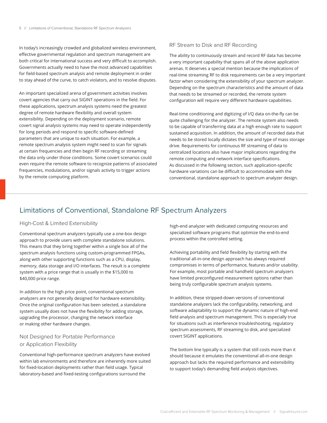In today's increasingly crowded and globalized wireless environment, effective governmental regulation and spectrum management are both critical for international success and very difficult to accomplish. Governments actually need to have the most advanced capabilities for field-based spectrum analysis and remote deployment in order to stay ahead of the curve, to catch violators, and to resolve disputes.

An important specialized arena of government activities involves covert agencies that carry out SIGINT operations in the field. For these applications, spectrum analysis systems need the greatest degree of remote hardware flexibility and overall system extensibility. Depending on the deployment scenario, remote covert signal analysis systems may need to operate independently for long periods and respond to specific software-defined parameters that are unique to each situation. For example, a remote spectrum analysis system might need to scan for signals at certain frequencies and then begin RF recording or streaming the data only under those conditions. Some covert scenarios could even require the remote software to recognize patterns of associated frequencies, modulations, and/or signals activity to trigger actions by the remote computing platform.

#### RF Stream to Disk and RF Recording

The ability to continuously stream and record RF data has become a very important capability that spans all of the above application arenas. It deserves a special mention because the implications of real-time streaming RF to disk requirements can be a very important factor when considering the extensibility of your spectrum analyzer. Depending on the spectrum characteristics and the amount of data that needs to be streamed or recorded, the remote system configuration will require very different hardware capabilities.

Real-time conditioning and digitizing of I/Q data on-the-fly can be quite challenging for the analyzer. The remote system also needs to be capable of transferring data at a high enough rate to support sustained acquisition. In addition, the amount of recorded data that needs to be stored locally dictates the size and type of mass storage drive. Requirements for continuous RF streaming of data to centralized locations also have major implications regarding the remote computing and network interface specifications. As discussed in the following section, such application-specific hardware variations can be difficult to accommodate with the conventional, standalone approach to spectrum analyzer design.

# Limitations of Conventional, Standalone RF Spectrum Analyzers

### High-Cost & Limited Extensibility

Conventional spectrum analyzers typically use a one-box design approach to provide users with complete standalone solutions. This means that they bring together within a single box all of the spectrum analysis functions using custom-programmed FPGAs, along with other supporting functions such as a CPU, display, memory, data storage and I/O interfaces. The result is a complete system with a price range that is usually in the \$15,000 to \$40,000 price range.

In addition to the high price point, conventional spectrum analyzers are not generally designed for hardware extensibility. Once the original configuration has been selected, a standalone system usually does not have the flexibility for adding storage, upgrading the processor, changing the network interface or making other hardware changes.

## Not Designed for Portable Performance or Application Flexibility

Conventional high-performance spectrum analyzers have evolved within lab environments and therefore are inherently more suited for fixed-location deployments rather than field usage. Typical laboratory-based and fixed-testing configurations surround the

high-end analyzer with dedicated computing resources and specialized software programs that optimize the end-to-end process within the controlled setting.

Achieving portability and field flexibility by starting with the traditional all-in-one design approach has always required compromises in terms of performance, features and/or usability. For example, most portable and handheld spectrum analyzers have limited preconfigured measurement options rather than being truly configurable spectrum analysis systems.

In addition, these stripped-down versions of conventional standalone analyzers lack the configurability, networking, and software adaptability to support the dynamic nature of high-end field analysis and spectrum management. This is especially true for situations such as interference troubleshooting, regulatory spectrum assessments, RF streaming to disk, and specialized covert SIGINT applications.

The bottom line typically is a system that still costs more than it should because it emulates the conventional all-in-one design approach but lacks the required performance and extensibility to support today's demanding field analysis objectives.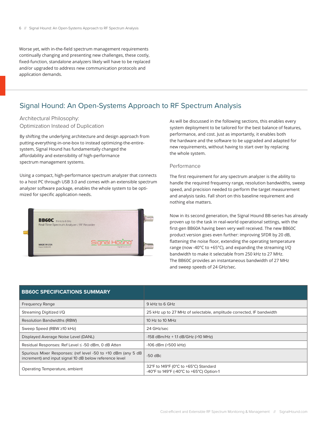Worse yet, with in-the-field spectrum management requirements continually changing and presenting new challenges, these costly, fixed-function, standalone analyzers likely will have to be replaced and/or upgraded to address new communication protocols and application demands.

# Signal Hound: An Open-Systems Approach to RF Spectrum Analysis

Architectural Philosophy: Optimization Instead of Duplication

By shifting the underlying architecture and design approach from putting-everything-in-one-box to instead optimizing-the-entiresystem, Signal Hound has fundamentally changed the affordability and extensibility of high-performance spectrum management systems.

Using a compact, high-performance spectrum analyzer that connects to a host PC through USB 3.0 and comes with an extensible spectrum analyzer software package, enables the whole system to be optimized for specific application needs.



As will be discussed in the following sections, this enables every system deployment to be tailored for the best balance of features, performance, and cost. Just as importantly, it enables both the hardware and the software to be upgraded and adapted for new requirements, without having to start over by replacing the whole system.

#### Performance

The first requirement for any spectrum analyzer is the ability to handle the required frequency range, resolution bandwidths, sweep speed, and precision needed to perform the target measurement and analysis tasks. Fall short on this baseline requirement and nothing else matters.

Now in its second generation, the Signal Hound BB-series has already proven up to the task in real-world operational settings, with the first-gen BB60A having been very well received. The new BB60C product version goes even further: improving SFDR by 20 dB, flattening the noise floor, extending the operating temperature range (now -40°C to +65°C), and expanding the streaming I/Q bandwidth to make it selectable from 250 kHz to 27 MHz. The BB60C provides an instantaneous bandwidth of 27 MHz and sweep speeds of 24 GHz/sec.

| <b>BB60C SPECIFICATIONS SUMMARY</b>                                                                                      |                                                                                   |
|--------------------------------------------------------------------------------------------------------------------------|-----------------------------------------------------------------------------------|
| <b>Frequency Range</b>                                                                                                   | 9 kHz to 6 GHz                                                                    |
| Streaming Digitized I/Q                                                                                                  | 25 kHz up to 27 MHz of selectable, amplitude corrected, IF bandwidth              |
| <b>Resolution Bandwidths (RBW)</b>                                                                                       | 10 Hz to 10 MHz                                                                   |
| Sweep Speed (RBW ≥10 kHz)                                                                                                | 24 GHz/sec                                                                        |
| Displayed Average Noise Level (DANL)                                                                                     | -158 dBm/Hz + 1.1 dB/GHz (>10 MHz)                                                |
| Residual Responses: Ref Level ≤ -50 dBm, 0 dB Atten                                                                      | $-106$ dBm ( $>500$ kHz)                                                          |
| Spurious Mixer Responses: (ref level -50 to +10 dBm (any 5 dB<br>increment) and input signal 10 dB below reference level | $-50$ dBc                                                                         |
| Operating Temperature, ambient                                                                                           | 32°F to 149°F (0°C to +65°C) Standard<br>-40°F to 149°F (-40°C to +65°C) Option-1 |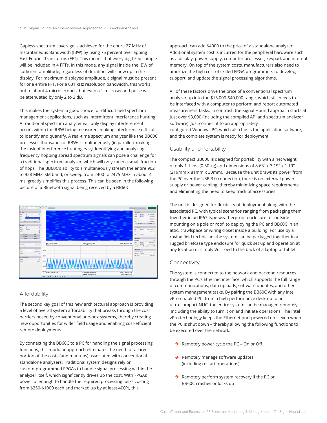Gapless spectrum coverage is achieved for the entire 27 MHz of Instantaneous Bandwidth (IBW) by using 75 percent overlapping Fast Fourier Transforms (FFT). This means that every digitized sample will be included in 4 FFTs. In this mode, any signal inside the IBW of sufficient amplitude, regardless of duration, will show up in the display. For maximum displayed amplitude, a signal must be present for one entire FFT. For a 631 kHz resolution bandwidth, this works out to about 4 microseconds, but even a 1 microsecond pulse will be attenuated by only 2 to 3 dB.

This makes the system a good choice for difficult field spectrum management applications, such as intermittent interference hunting. A traditional spectrum analyzer will only display interference if it occurs within the RBW being measured, making interference difficult to identify and quantify. A real-time spectrum analyzer like the BB60C processes thousands of RBWs simultaneously (in parallel), making the task of interference hunting easy. Identifying and analyzing frequency hopping spread spectrum signals can pose a challenge for a traditional spectrum analyzer, which will only catch a small fraction of hops. The BB60C's ability to simultaneously stream the entire 902 to 928 MHz ISM band, or sweep from 2400 to 2475 MHz in about 4 ms, greatly simplifies this process. This can be seen in the following picture of a Bluetooth signal being received by a BB60C.



### Affordability

The second key goal of this new architectural approach is providing a level of overall system affordability that breaks through the cost barriers posed by conventional one-box systems, thereby creating new opportunities for wider field usage and enabling cost-efficient remote deployments.

By connecting the BB60C to a PC for handling the signal processing functions, this modular approach eliminates the need for a large portion of the costs (and markups) associated with conventional standalone analyzers. Traditional system designs rely on custom-programmed FPGAs to handle signal processing within the analyzer itself, which significantly drives up the cost. With FPGAs powerful enough to handle the required processing tasks costing from \$250-\$1000 each and marked up by at least 400%, this

approach can add \$4000 to the price of a standalone analyzer. Additional system cost is incurred for the peripheral hardware such as a display, power supply, computer processor, keypad, and internal memory. On top of the system costs, manufacturers also need to amortize the high cost of skilled FPGA programmers to develop, support, and update the signal processing algorithms.

All of these factors drive the price of a conventional spectrum analyzer up into the \$15,000-\$40,000 range, which still needs to be interfaced with a computer to perform and report automated measurement tasks. In contrast, the Signal Hound approach starts at just over \$3,000 (including the compiled API and spectrum analyzer software). Just connect it to an appropriately configured Windows PC, which also hosts the application software, and the complete system is ready for deployment.

#### Usability and Portability

The compact BB60C is designed for portability with a net weight of only 1.1 lbs. (0.50 kg) and dimensions of 8.63" x 3.19" x 1.19" (219mm x 81mm x 30mm). Because the unit draws its power from the PC over the USB 3.0 connection, there is no external power supply or power cabling, thereby minimizing space requirements and eliminating the need to keep track of accessories.

The unit is designed for flexibility of deployment along with the associated PC, with typical scenarios ranging from packaging them together in an IP67 type weatherproof enclosure for outside mounting on a pole or roof, to deploying the PC and BB60C in an attic, crawlspace or wiring closet inside a building. For use by a roving field technician, the system can be packaged together in a rugged briefcase type enclosure for quick set up and operation at any location or simply Velcroed to the back of a laptop or tablet.

#### Connectivity

The system is connected to the network and backend resources through the PC's Ethernet interface, which supports the full range of communications, data uploads, software updates, and other system management tasks. By pairing the BB60C with any Intel vPro-enabled PC, from a high-performance desktop to an ultra-compact NUC, the entire system can be managed remotely, including the ability to turn it on and initiate operations. The Intel vPro technology keeps the Ethernet port powered on – even when the PC is shut down – thereby allowing the following functions to be executed over the network:

- $\rightarrow$  Remotely power cycle the PC On or Off
- $\rightarrow$  Remotely manage software updates (including restart operations)
- $\rightarrow$  Remotely perform system recovery if the PC or BB60C crashes or locks up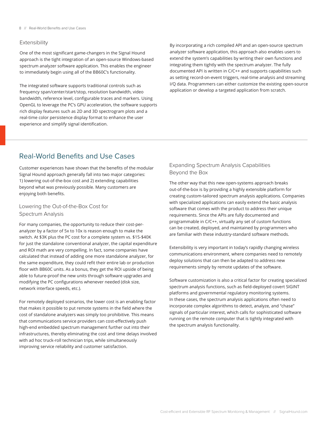#### Extensibility

One of the most significant game-changers in the Signal Hound approach is the tight integration of an open-source Windows-based spectrum analyzer software application. This enables the engineer to immediately begin using all of the BB60C's functionality.

The integrated software supports traditional controls such as frequency span/center/start/stop, resolution bandwidth, video bandwidth, reference level, configurable traces and markers. Using OpenGL to leverage the PC's GPU acceleration, the software supports rich display features such as 2D and 3D spectrogram plots and a real-time color persistence display format to enhance the user experience and simplify signal identification.

By incorporating a rich compiled API and an open-source spectrum analyzer software application, this approach also enables users to extend the system's capabilities by writing their own functions and integrating them tightly with the spectrum analyzer. The fully documented API is written in C/C++ and supports capabilities such as setting record-on-event triggers, real-time analysis and streaming I/Q data. Programmers can either customize the existing open-source application or develop a targeted application from scratch.

# Real-World Benefits and Use Cases

Customer experiences have shown that the benefits of the modular Signal Hound approach generally fall into two major categories: 1) lowering out-of-the-box cost and 2) extending capabilities beyond what was previously possible. Many customers are enjoying both benefits.

Lowering the Out-of-the-Box Cost for Spectrum Analysis

For many companies, the opportunity to reduce their cost-peranalyzer by a factor of 5x to 10x is reason enough to make the switch. At \$3K plus the PC cost for a complete system vs. \$15-\$40K for just the standalone conventional analyzer, the capital expenditure and ROI math are very compelling. In fact, some companies have calculated that instead of adding one more standalone analyzer, for the same expenditure, they could refit their entire lab or production floor with BB60C units. As a bonus, they get the ROI upside of being able to future-proof the new units through software upgrades and modifying the PC configurations whenever needed (disk size, network interface speeds, etc.).

For remotely deployed scenarios, the lower cost is an enabling factor that makes it possible to put remote systems in the field where the cost of standalone analyzers was simply too prohibitive. This means that communications service providers can cost-effectively push high-end embedded spectrum management further out into their infrastructures, thereby eliminating the cost and time delays involved with ad hoc truck-roll technician trips, while simultaneously improving service reliability and customer satisfaction.

## Expanding Spectrum Analysis Capabilities Beyond the Box

The other way that this new open-systems approach breaks out-of-the-box is by providing a highly extensible platform for creating custom-tailored spectrum analysis applications. Companies with specialized applications can easily extend the basic analysis software that comes with the product to address their unique requirements. Since the APIs are fully documented and programmable in C/C++, virtually any set of custom functions can be created, deployed, and maintained by programmers who are familiar with these industry-standard software methods.

Extensibility is very important in today's rapidly changing wireless communications environment, where companies need to remotely deploy solutions that can then be adapted to address new requirements simply by remote updates of the software.

Software customization is also a critical factor for creating specialized spectrum analysis functions, such as field-deployed covert SIGINT platforms and governmental regulatory monitoring systems. In these cases, the spectrum analysis applications often need to incorporate complex algorithms to detect, analyze, and "chase" signals of particular interest, which calls for sophisticated software running on the remote computer that is tightly integrated with the spectrum analysis functionality.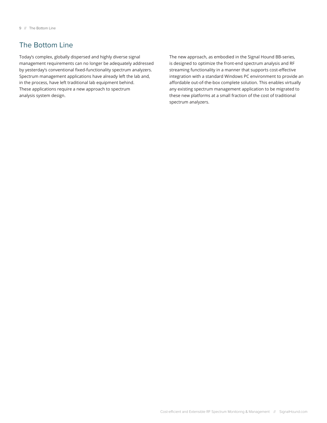# The Bottom Line

Today's complex, globally dispersed and highly diverse signal management requirements can no longer be adequately addressed by yesterday's conventional fixed-functionality spectrum analyzers. Spectrum management applications have already left the lab and, in the process, have left traditional lab equipment behind. These applications require a new approach to spectrum analysis system design.

The new approach, as embodied in the Signal Hound BB-series, is designed to optimize the front-end spectrum analysis and RF streaming functionality in a manner that supports cost-effective integration with a standard Windows PC environment to provide an affordable out-of-the-box complete solution. This enables virtually any existing spectrum management application to be migrated to these new platforms at a small fraction of the cost of traditional spectrum analyzers.